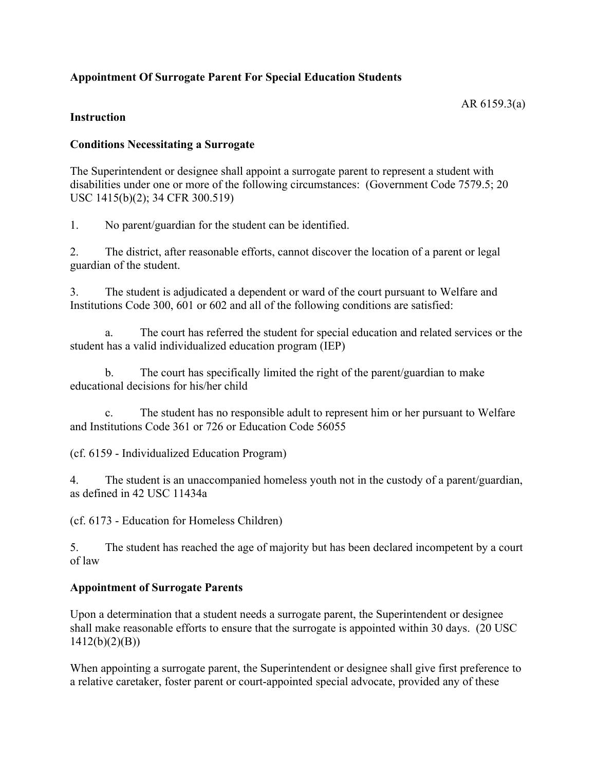# **Appointment Of Surrogate Parent For Special Education Students**

#### **Instruction**

### **Conditions Necessitating a Surrogate**

The Superintendent or designee shall appoint a surrogate parent to represent a student with disabilities under one or more of the following circumstances: (Government Code 7579.5; 20 USC 1415(b)(2); 34 CFR 300.519)

1. No parent/guardian for the student can be identified.

2. The district, after reasonable efforts, cannot discover the location of a parent or legal guardian of the student.

3. The student is adjudicated a dependent or ward of the court pursuant to Welfare and Institutions Code 300, 601 or 602 and all of the following conditions are satisfied:

a. The court has referred the student for special education and related services or the student has a valid individualized education program (IEP)

b. The court has specifically limited the right of the parent/guardian to make educational decisions for his/her child

c. The student has no responsible adult to represent him or her pursuant to Welfare and Institutions Code 361 or 726 or Education Code 56055

(cf. 6159 - Individualized Education Program)

4. The student is an unaccompanied homeless youth not in the custody of a parent/guardian, as defined in 42 USC 11434a

(cf. 6173 - Education for Homeless Children)

5. The student has reached the age of majority but has been declared incompetent by a court of law

## **Appointment of Surrogate Parents**

Upon a determination that a student needs a surrogate parent, the Superintendent or designee shall make reasonable efforts to ensure that the surrogate is appointed within 30 days. (20 USC 1412(b)(2)(B))

When appointing a surrogate parent, the Superintendent or designee shall give first preference to a relative caretaker, foster parent or court-appointed special advocate, provided any of these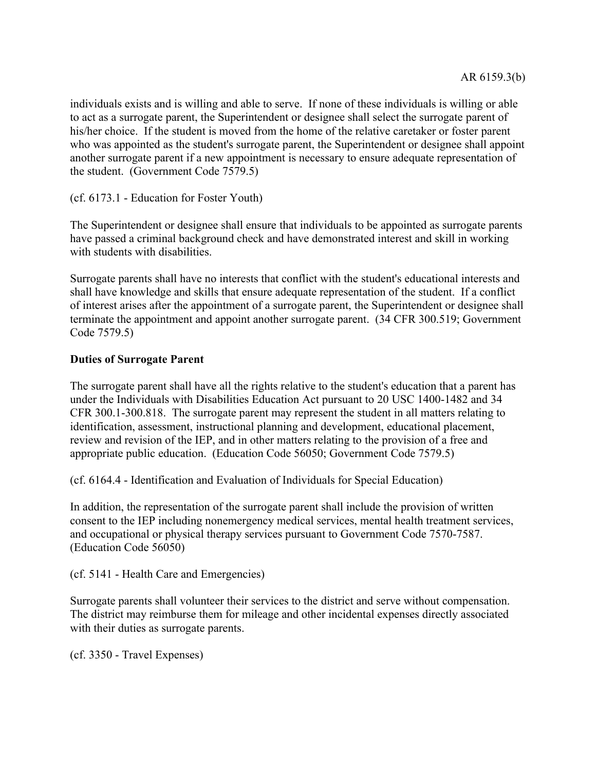individuals exists and is willing and able to serve. If none of these individuals is willing or able to act as a surrogate parent, the Superintendent or designee shall select the surrogate parent of his/her choice. If the student is moved from the home of the relative caretaker or foster parent who was appointed as the student's surrogate parent, the Superintendent or designee shall appoint another surrogate parent if a new appointment is necessary to ensure adequate representation of the student. (Government Code 7579.5)

(cf. 6173.1 - Education for Foster Youth)

The Superintendent or designee shall ensure that individuals to be appointed as surrogate parents have passed a criminal background check and have demonstrated interest and skill in working with students with disabilities.

Surrogate parents shall have no interests that conflict with the student's educational interests and shall have knowledge and skills that ensure adequate representation of the student. If a conflict of interest arises after the appointment of a surrogate parent, the Superintendent or designee shall terminate the appointment and appoint another surrogate parent. (34 CFR 300.519; Government Code 7579.5)

### **Duties of Surrogate Parent**

The surrogate parent shall have all the rights relative to the student's education that a parent has under the Individuals with Disabilities Education Act pursuant to 20 USC 1400-1482 and 34 CFR 300.1-300.818. The surrogate parent may represent the student in all matters relating to identification, assessment, instructional planning and development, educational placement, review and revision of the IEP, and in other matters relating to the provision of a free and appropriate public education. (Education Code 56050; Government Code 7579.5)

(cf. 6164.4 - Identification and Evaluation of Individuals for Special Education)

In addition, the representation of the surrogate parent shall include the provision of written consent to the IEP including nonemergency medical services, mental health treatment services, and occupational or physical therapy services pursuant to Government Code 7570-7587. (Education Code 56050)

(cf. 5141 - Health Care and Emergencies)

Surrogate parents shall volunteer their services to the district and serve without compensation. The district may reimburse them for mileage and other incidental expenses directly associated with their duties as surrogate parents.

(cf. 3350 - Travel Expenses)